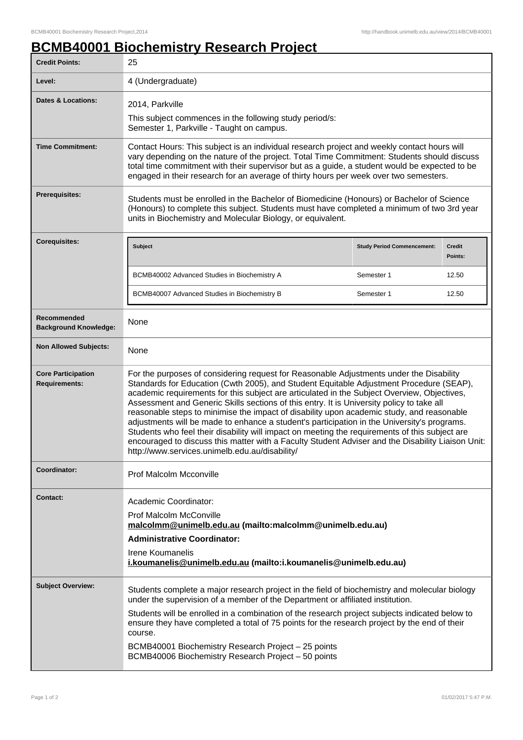## **BCMB40001 Biochemistry Research Project**

| <b>Credit Points:</b>                             | 25                                                                                                                                                                                                                                                                                                                                                                                                                                                                                                                                                                                                                                                                                                                                                                                                                                  |                                   |                   |
|---------------------------------------------------|-------------------------------------------------------------------------------------------------------------------------------------------------------------------------------------------------------------------------------------------------------------------------------------------------------------------------------------------------------------------------------------------------------------------------------------------------------------------------------------------------------------------------------------------------------------------------------------------------------------------------------------------------------------------------------------------------------------------------------------------------------------------------------------------------------------------------------------|-----------------------------------|-------------------|
| Level:                                            | 4 (Undergraduate)                                                                                                                                                                                                                                                                                                                                                                                                                                                                                                                                                                                                                                                                                                                                                                                                                   |                                   |                   |
| Dates & Locations:                                | 2014, Parkville<br>This subject commences in the following study period/s:<br>Semester 1, Parkville - Taught on campus.                                                                                                                                                                                                                                                                                                                                                                                                                                                                                                                                                                                                                                                                                                             |                                   |                   |
| <b>Time Commitment:</b>                           | Contact Hours: This subject is an individual research project and weekly contact hours will<br>vary depending on the nature of the project. Total Time Commitment: Students should discuss<br>total time commitment with their supervisor but as a guide, a student would be expected to be<br>engaged in their research for an average of thirty hours per week over two semesters.                                                                                                                                                                                                                                                                                                                                                                                                                                                |                                   |                   |
| Prerequisites:                                    | Students must be enrolled in the Bachelor of Biomedicine (Honours) or Bachelor of Science<br>(Honours) to complete this subject. Students must have completed a minimum of two 3rd year<br>units in Biochemistry and Molecular Biology, or equivalent.                                                                                                                                                                                                                                                                                                                                                                                                                                                                                                                                                                              |                                   |                   |
| <b>Corequisites:</b>                              | <b>Subject</b>                                                                                                                                                                                                                                                                                                                                                                                                                                                                                                                                                                                                                                                                                                                                                                                                                      | <b>Study Period Commencement:</b> | Credit<br>Points: |
|                                                   | BCMB40002 Advanced Studies in Biochemistry A                                                                                                                                                                                                                                                                                                                                                                                                                                                                                                                                                                                                                                                                                                                                                                                        | Semester 1                        | 12.50             |
|                                                   | BCMB40007 Advanced Studies in Biochemistry B                                                                                                                                                                                                                                                                                                                                                                                                                                                                                                                                                                                                                                                                                                                                                                                        | Semester 1                        | 12.50             |
| Recommended<br><b>Background Knowledge:</b>       | None                                                                                                                                                                                                                                                                                                                                                                                                                                                                                                                                                                                                                                                                                                                                                                                                                                |                                   |                   |
| <b>Non Allowed Subjects:</b>                      | None                                                                                                                                                                                                                                                                                                                                                                                                                                                                                                                                                                                                                                                                                                                                                                                                                                |                                   |                   |
| <b>Core Participation</b><br><b>Requirements:</b> | For the purposes of considering request for Reasonable Adjustments under the Disability<br>Standards for Education (Cwth 2005), and Student Equitable Adjustment Procedure (SEAP),<br>academic requirements for this subject are articulated in the Subject Overview, Objectives,<br>Assessment and Generic Skills sections of this entry. It is University policy to take all<br>reasonable steps to minimise the impact of disability upon academic study, and reasonable<br>adjustments will be made to enhance a student's participation in the University's programs.<br>Students who feel their disability will impact on meeting the requirements of this subject are<br>encouraged to discuss this matter with a Faculty Student Adviser and the Disability Liaison Unit:<br>http://www.services.unimelb.edu.au/disability/ |                                   |                   |
| Coordinator:                                      | Prof Malcolm Mcconville                                                                                                                                                                                                                                                                                                                                                                                                                                                                                                                                                                                                                                                                                                                                                                                                             |                                   |                   |
| <b>Contact:</b>                                   | Academic Coordinator:<br><b>Prof Malcolm McConville</b><br>malcolmm@unimelb.edu.au (mailto:malcolmm@unimelb.edu.au)<br><b>Administrative Coordinator:</b><br>Irene Koumanelis<br>i.koumanelis@unimelb.edu.au (mailto:i.koumanelis@unimelb.edu.au)                                                                                                                                                                                                                                                                                                                                                                                                                                                                                                                                                                                   |                                   |                   |
| <b>Subject Overview:</b>                          | Students complete a major research project in the field of biochemistry and molecular biology<br>under the supervision of a member of the Department or affiliated institution.<br>Students will be enrolled in a combination of the research project subjects indicated below to<br>ensure they have completed a total of 75 points for the research project by the end of their<br>course.<br>BCMB40001 Biochemistry Research Project - 25 points<br>BCMB40006 Biochemistry Research Project - 50 points                                                                                                                                                                                                                                                                                                                          |                                   |                   |